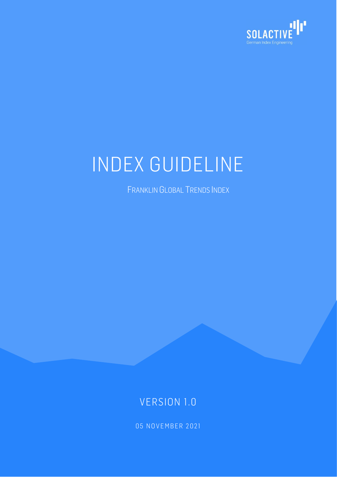

# INDEX GUIDELINE

FRANKLIN GLOBAL TRENDS INDEX

# VERSION 1.0

05 NOVEMBER 2021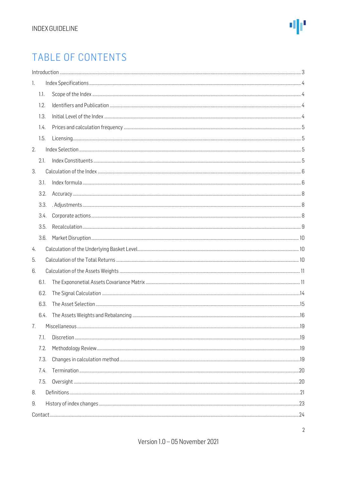# TABLE OF CONTENTS

| 1. |      |  |  |
|----|------|--|--|
|    | 1.1. |  |  |
|    | 1.2. |  |  |
|    | 1.3. |  |  |
|    | 1.4. |  |  |
|    | 1.5. |  |  |
| 2. |      |  |  |
|    | 2.1. |  |  |
| 3. |      |  |  |
|    | 3.1. |  |  |
|    | 3.2. |  |  |
|    | 3.3. |  |  |
|    | 3.4. |  |  |
|    | 3.5. |  |  |
|    | 3.6. |  |  |
| 4. |      |  |  |
| 5. |      |  |  |
| 6. |      |  |  |
|    | 6.1. |  |  |
|    | 6.2. |  |  |
|    | 6.3. |  |  |
|    | 6.4. |  |  |
| 7. |      |  |  |
|    | 7.1. |  |  |
|    | 7.2. |  |  |
|    | 7.3. |  |  |
|    | 7.4. |  |  |
|    | 7.5. |  |  |
| 8. |      |  |  |
| 9. |      |  |  |
|    |      |  |  |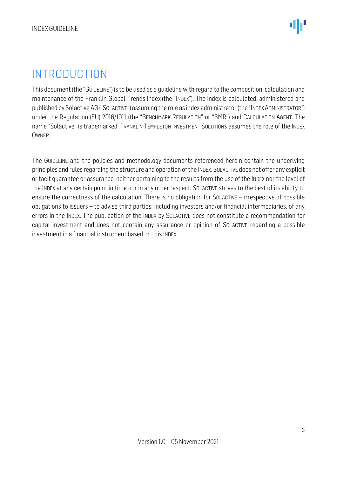# <span id="page-2-0"></span>INTRODUCTION

This document (the "GUIDELINE") is to be used as a guideline with regard to the composition, calculation and maintenance of the Franklin Global Trends Index (the "INDEX"). The Index is calculated, administered and published by Solactive AG ("SOLACTIVE") assuming the role as index administrator (the "INDEX ADMINISTRATOR") under the Regulation (EU) 2016/1011 (the "BENCHMARK REGULATION" or "BMR") and CALCULATION AGENT. The name "Solactive" is trademarked. FRANKLIN TEMPLETON INVESTMENT SOLUTIONS assumes the role of the INDEX OWNER.

The GUIDELINE and the policies and methodology documents referenced herein contain the underlying principles and rules regarding the structure and operation of the INDEX. SOLACTIVE does not offer any explicit or tacit guarantee or assurance, neither pertaining to the results from the use of the INDEX nor the level of the INDEX at any certain point in time nor in any other respect. SOLACTIVE strives to the best of its ability to ensure the correctness of the calculation. There is no obligation for SOLACTIVE – irrespective of possible obligations to issuers – to advise third parties, including investors and/or financial intermediaries, of any errors in the INDEX. The publication of the INDEX by SOLACTIVE does not constitute a recommendation for capital investment and does not contain any assurance or opinion of SOLACTIVE regarding a possible investment in a financial instrument based on this INDEX.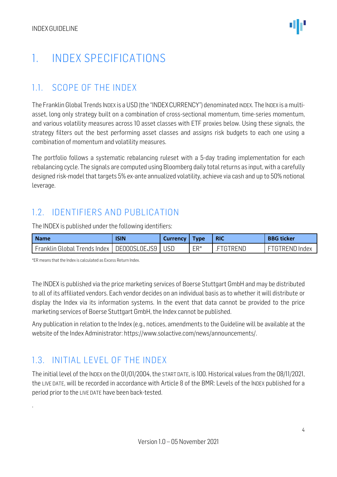# <span id="page-3-0"></span>1. INDEX SPECIFICATIONS

### <span id="page-3-1"></span>1.1. SCOPE OF THE INDEX

The Franklin Global Trends INDEX is a USD (the "INDEXCURRENCY") denominated INDEX. The INDEX is a multiasset, long only strategy built on a combination of cross-sectional momentum, time-series momentum, and various volatility measures across 10 asset classes with ETF proxies below. Using these signals, the strategy filters out the best performing asset classes and assigns risk budgets to each one using a combination of momentum and volatility measures.

The portfolio follows a systematic rebalancing ruleset with a 5-day trading implementation for each rebalancing cycle. The signals are computed using Bloomberg daily total returns as input, with a carefully designed risk-model that targets 5% ex-ante annualized volatility, achieve via cash and up to 50% notional leverage.

## <span id="page-3-2"></span>1.2. IDENTIFIERS AND PUBLICATION

The INDEX is published under the following identifiers:

| <b>Name</b>                                         | <b>ISIN</b> | Currency | <b>Type</b> | <b>RIC</b> | <b>BBG ticker</b>     |
|-----------------------------------------------------|-------------|----------|-------------|------------|-----------------------|
| ' Franklin Global Trends Index   DE000SL0EJS9   USD |             |          | ER*         | FTGTRFNL   | <b>FTGTREND Index</b> |

\*ER means that the Index is calculated as Excess Return Index.

The INDEX is published via the price marketing services of Boerse Stuttgart GmbH and may be distributed to all of its affiliated vendors. Each vendor decides on an individual basis as to whether it will distribute or display the Index via its information systems. In the event that data cannot be provided to the price marketing services of Boerse Stuttgart GmbH, the Index cannot be published.

Any publication in relation to the Index (e.g., notices, amendments to the Guideline will be available at the website of the Index Administrator[: https://www.solactive.com/news/announcements/.](https://www.solactive.com/news/announcements/)

# <span id="page-3-3"></span>1.3. INITIAL LEVEL OF THE INDEX

.

The initial level of the INDEX on the 01/01/2004, the START DATE, is 100. Historical values from the 08/11/2021, the LIVE DATE, will be recorded in accordance with Article 8 of the BMR: Levels of the INDEX published for a period prior to the LIVE DATE have been back-tested.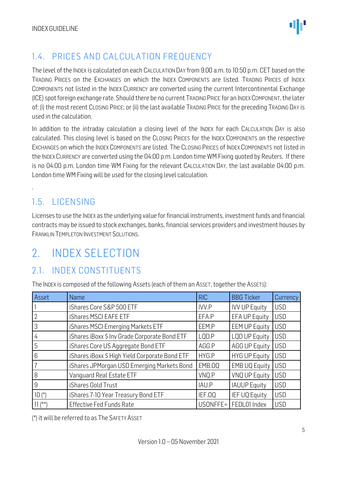# <span id="page-4-0"></span>1.4. PRICES AND CALCULATION FREQUENCY

The level of the INDEX is calculated on each CALCULATION DAY from 9:00 a.m. to 10:50 p.m. CET based on the TRADING PRICES on the EXCHANGES on which the INDEX COMPONENTS are listed. TRADING PRICES of INDEX COMPONENTS not listed in the INDEX CURRENCY are converted using the current Intercontinental Exchange (ICE) spot foreign exchange rate. Should there be no current TRADING PRICE for an INDEX COMPONENT, the later of: (i) the most recent CLOSING PRICE; or (ii) the last available TRADING PRICE for the preceding TRADING DAY is used in the calculation.

In addition to the intraday calculation a closing level of the INDEX for each CALCULATION DAY is also calculated. This closing level is based on the CLOSING PRICES for the INDEX COMPONENTS on the respective EXCHANGES on which the INDEX COMPONENTS are listed. The CLOSING PRICES of INDEX COMPONENTS not listed in the INDEX CURRENCY are converted using the 04:00 p.m. London time WM Fixing quoted by Reuters. If there is no 04:00 p.m. London time WM Fixing for the relevant CALCULATION DAY, the last available 04:00 p.m. London time WM Fixing will be used for the closing level calculation.

# <span id="page-4-1"></span>1.5. LICENSING

.

Licenses to use the INDEX as the underlying value for financial instruments, investment funds and financial contracts may be issued to stock exchanges, banks, financial services providers and investment houses by FRANKLIN TEMPLETON INVESTMENT SOLUTIONS.

# <span id="page-4-2"></span>2. INDEX SELECTION

# <span id="page-4-3"></span>2.1. INDEX CONSTITUENTS

The INDEX is composed of the following Assets (each of them an ASSET, together the ASSETS):

| Asset      | Name                                           | <b>RIC</b>   | <b>BBG Ticker</b>    | Currency   |
|------------|------------------------------------------------|--------------|----------------------|------------|
|            | iShares Core S&P 500 ETF                       | <b>IVV.P</b> | <b>IVV UP Equity</b> | <b>USD</b> |
|            | iShares MSCI EAFE ETF                          | EFA.P        | <b>EFA UP Equity</b> | <b>USD</b> |
| 3          | iShares MSCI Emerging Markets ETF              | EEM.P        | <b>EEM UP Equity</b> | <b>USD</b> |
| 4          | iShares iBoxx \$ Inv Grade Corporate Bond ETF  | LQD.P        | <b>LQD UP Equity</b> | <b>USD</b> |
| 5          | iShares Core US Aggregate Bond ETF             | AGG.P        | <b>AGG UP Equity</b> | <b>USD</b> |
| 6          | iShares iBoxx \$ High Yield Corporate Bond ETF | HYG.P        | <b>HYG UP Equity</b> | <b>USD</b> |
|            | iShares JPMorgan USD Emerging Markets Bond     | EMB.OQ       | <b>EMB UQ Equity</b> | <b>USD</b> |
| 8          | Vanguard Real Estate ETF                       | VNQ.P        | VNQ UP Equity        | <b>USD</b> |
| 9          | iShares Gold Trust                             | IAU.P        | <b>IAUUP Equity</b>  | <b>USD</b> |
| $10(*)$    | iShares 7-10 Year Treasury Bond ETF            | IEF.OQ       | <b>IEF UQ Equity</b> | <b>USD</b> |
| $11^{***}$ | <b>Effective Fed Funds Rate</b>                | USONFFE=     | FEDL01 Index         | <b>USD</b> |

(\*) it will be referred to as The SAFETY ASSET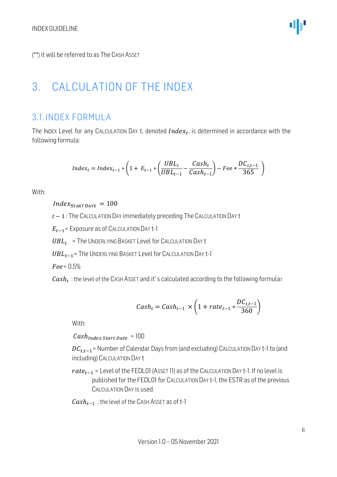(\*\*) it will be referred to as The CASH ASSET

# <span id="page-5-0"></span>3. CALCULATION OF THE INDEX

## <span id="page-5-1"></span>3.1. INDEX FORMULA

The INDEX Level for any CALCULATION DAY t, denoted  $Index_t$ , is determined in accordance with the following formula:

$$
Index_t = Index_{t-1} * \left(1 + E_{t-1} * \left(\frac{UBL_t}{UBL_{t-1}} - \frac{Cash_t}{Cash_{t-1}}\right) - Free * \frac{DC_{t,t-1}}{365}\right)
$$

With:

 $Index_{\text{START DATE}} = 100$ 

 $t-1$ : The CALCULATION DAY immediately preceding The CALCULATION DAY t

 $E_{t-1}$ = Exposure as of CALCULATION DAY t-1

 $UBL_t$  = The UNDERLYING BASKET Level for CALCULATION DAY t

 $UBL_{t-1}$  = The UNDERLYING BASKET Level for CALCULATION DAY t-1

 $Fee = 0.5%$ 

 $\emph{Cash}_{t} \,$  : the level of the CASH ASSET and it' s calculated according to the following formula:

$$
Cash_t = Cash_{t-1} \times \left(1 + rate_{t-1} * \frac{DC_{t,t-1}}{360}\right)
$$

With:

 $Cash_{index Start Date} = 100$ 

 $DC_{t,t-1}$ = Number of Calendar Days from (and excluding) CALCULATION DAY t-1 to (and including) CALCULATION DAY t

 $rate_{t-1}$  = Level of the FEDL01 (Asset 11) as of the CALCULATION DAY t-1. If no level is published for the FEDL01 for CALCULATION DAY t-1, the ESTR as of the previous CALCULATION DAY is used.

 $Cash_{t-1}$ : the level of the CASH ASSET as of t-1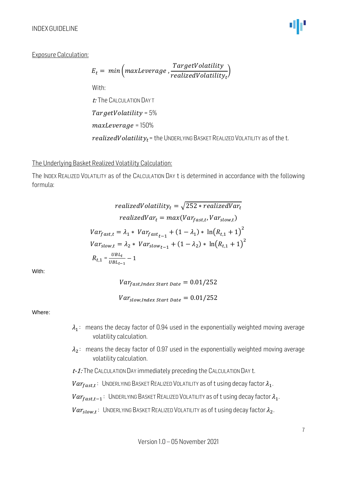#### INDEXGUIDELINE

#### Exposure Calculation:

$$
E_t = min \left( maxLeverage, \frac{TargetVolatility}{realizedVolatility_t} \right)
$$
  
With:  
*t:* The CALCULATION DAYT  
*TargetVolatility* = 5%  
*maxLeverage* = 150%  
*realizedVolatility\_t* = the UNDERLYING BASKET REALIZED VOLATILITY as of the t.

#### The Underlying Basket Realized Volatility Calculation:

The INDEX REALIZED VOLATILITY as of the CALCULATION DAY t is determined in accordance with the following formula:

realizedVolatility<sub>t</sub> = 
$$
\sqrt{252 * realizedVar_t}
$$
  
\nrealizedVar<sub>t</sub> = max(Var<sub>fast,t</sub>, Var<sub>slow,t</sub>)  
\nVar<sub>fast,t</sub> =  $\lambda_1 * Var_{fast_{t-1}} + (1 - \lambda_1) * ln(R_{t,1} + 1)^2$   
\nVar<sub>slow,t</sub> =  $\lambda_2 * Var_{slow_{t-1}} + (1 - \lambda_2) * ln(R_{t,1} + 1)^2$   
\n $R_{t,1} = \frac{UBL_t}{UBL_{t-1}} - 1$ 

With:

 $Var_{fast, Index Start Date} = 0.01/252$ 

 $Var_{slow, Index Start Date} = 0.01/252$ 

Where:

- $\lambda_1$ : means the decay factor of 0.94 used in the exponentially weighted moving average volatility calculation.
- $\lambda_2$ : means the decay factor of 0.97 used in the exponentially weighted moving average volatility calculation.
- $t$ -1: The CALCULATION DAY immediately preceding the CALCULATION DAY  $t$ .

 $Var_{fast,t}$ : UNDERLYING BASKET REALIZED VOLATILITY as of t using decay factor  $\lambda_1$ .

 $Var_{fast,t-1}:$  UNDERLYING BASKET REALIZED VOLATILITY as of t using decay factor  $\lambda_1$ .

 $Var_{slow, t}$ : UNDERLYING BASKET REALIZED VOLATILITY as of t using decay factor  $\lambda_2$ .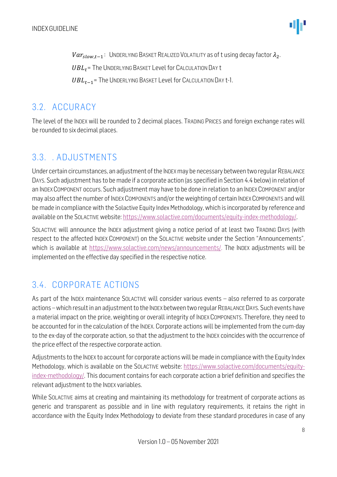$Var_{slow.t-1}$ : UNDERLYING BASKET REALIZED VOLATILITY as of t using decay factor  $\lambda_2$ .

 $UBL<sub>t</sub>$  = The UNDERLYING BASKET Level for CALCULATION DAY t

 $UBL_{t-1}$ = The UNDERLYING BASKET Level for CALCULATION DAY t-1.

### <span id="page-7-0"></span>3.2. ACCURACY

The level of the INDEX will be rounded to 2 decimal places. TRADING PRICES and foreign exchange rates will be rounded to six decimal places.

## <span id="page-7-1"></span>3.3. . ADJUSTMENTS

Under certain circumstances, an adjustment of the INDEX may be necessary between two regular REBALANCE DAYS. Such adjustment has to be made if a corporate action (as specified in Section 4.4 below) in relation of an INDEX COMPONENT occurs. Such adjustment may have to be done in relation to an INDEX COMPONENT and/or may also affect the number of INDEX COMPONENTS and/or the weighting of certain INDEX COMPONENTS and will be made in compliance with the Solactive Equity Index Methodology, which is incorporated by reference and available on the SOLACTIVE website: [https://www.solactive.com/documents/equity-index-methodology/.](https://www.solactive.com/documents/equity-index-methodology/)

SOLACTIVE will announce the INDEX adjustment giving a notice period of at least two TRADING DAYS (with respect to the affected INDEX COMPONENT) on the SOLACTIVE website under the Section "Announcements", which is available at https://www.solactive.com/news/announcements/. The INDEX adjustments will be implemented on the effective day specified in the respective notice.

# <span id="page-7-2"></span>3.4. CORPORATE ACTIONS

As part of the INDEX maintenance SOLACTIVE will consider various events – also referred to as corporate actions –which result in an adjustment to the INDEX between two regular REBALANCE DAYS. Such events have a material impact on the price, weighting or overall integrity of INDEX COMPONENTS. Therefore, they need to be accounted for in the calculation of the INDEX. Corporate actions will be implemented from the cum-day to the ex-day of the corporate action, so that the adjustment to the INDEX coincides with the occurrence of the price effect of the respective corporate action.

Adjustments to the INDEX to account for corporate actions will be made in compliance with the Equity Index Methodology, which is available on the SOLACTIVE website: [https://www.solactive.com/documents/equity](https://www.solactive.com/documents/equity-index-methodology/)[index-methodology/.](https://www.solactive.com/documents/equity-index-methodology/) This document contains for each corporate action a brief definition and specifies the relevant adjustment to the INDEX variables.

While SOLACTIVE aims at creating and maintaining its methodology for treatment of corporate actions as generic and transparent as possible and in line with regulatory requirements, it retains the right in accordance with the Equity Index Methodology to deviate from these standard procedures in case of any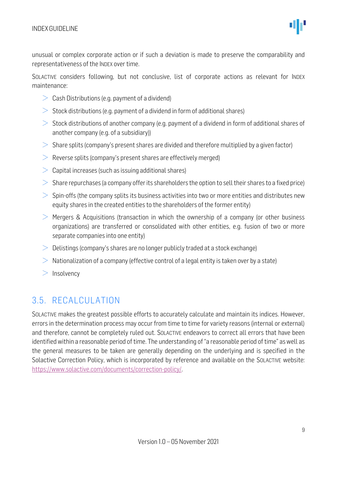

unusual or complex corporate action or if such a deviation is made to preserve the comparability and representativeness of the INDEX over time.

SOLACTIVE considers following, but not conclusive, list of corporate actions as relevant for INDEX maintenance:

- $>$  Cash Distributions (e.g. payment of a dividend)
- $>$  Stock distributions (e.g. payment of a dividend in form of additional shares)
- $>$  Stock distributions of another company (e.g. payment of a dividend in form of additional shares of another company (e.g. of a subsidiary))
- $>$  Share splits (company's present shares are divided and therefore multiplied by a given factor)
- $\geq$  Reverse splits (company's present shares are effectively merged)
- $\geq$  Capital increases (such as issuing additional shares)
- $>$  Share repurchases (a company offer its shareholders the option to sell their shares to a fixed price)
- $>$  Spin-offs (the company splits its business activities into two or more entities and distributes new equity shares in the created entities to the shareholders of the former entity)
- $\geq$  Mergers & Acquisitions (transaction in which the ownership of a company (or other business organizations) are transferred or consolidated with other entities, e.g. fusion of two or more separate companies into one entity)
- $\geq 0$ elistings (company's shares are no longer publicly traded at a stock exchange)
- $>$  Nationalization of a company (effective control of a legal entity is taken over by a state)
- $>$  Insolvency

### <span id="page-8-0"></span>3.5. RECALCULATION

SOLACTIVE makes the greatest possible efforts to accurately calculate and maintain its indices. However, errors in the determination process may occur from time to time for variety reasons (internal or external) and therefore, cannot be completely ruled out. SOLACTIVE endeavors to correct all errors that have been identified within a reasonable period of time. The understanding of "a reasonable period of time" as well as the general measures to be taken are generally depending on the underlying and is specified in the Solactive Correction Policy, which is incorporated by reference and available on the SOLACTIVE website: [https://www.solactive.com/documents/correction-policy/.](https://www.solactive.com/documents/correction-policy/)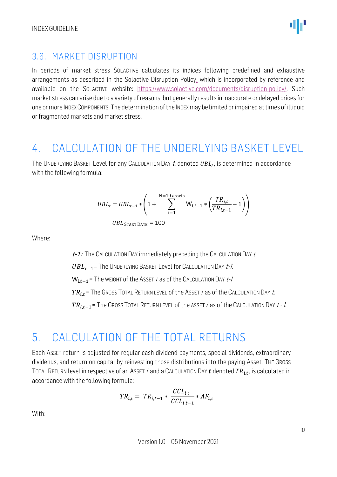### <span id="page-9-0"></span>3.6. MARKET DISRUPTION

In periods of market stress SOLACTIVE calculates its indices following predefined and exhaustive arrangements as described in the Solactive Disruption Policy, which is incorporated by reference and available on the SOLACTIVE website: [https://www.solactive.com/documents/disruption-policy/.](https://www.solactive.com/documents/disruption-policy/) Such market stress can arise due to a variety of reasons, but generally results in inaccurate or delayed prices for one or more INDEX COMPONENTS. The determination of the INDEX may be limited or impaired at times of illiquid or fragmented markets and market stress.

# <span id="page-9-1"></span>4. CALCULATION OF THE UNDERLYING BASKET LEVEL

The UNDERLYING BASKET Level for any CALCULATION DAY t, denoted  $\mathit{UBL}_t$ , is determined in accordance with the following formula:

$$
UBL_{t} = UBL_{t-1} * \left( 1 + \sum_{i=1}^{N=10} W_{i,t-1} * \left( \frac{TR_{i,t}}{TR_{i,t-1}} - 1 \right) \right)
$$

$$
UBL_{\text{ START DATE}} = 100
$$

Where:

 $t$ -1: The CALCULATION DAY immediately preceding the CALCULATION DAY  $t$ .

 $UBL_{t-1}$ = The UNDERLYING BASKET Level for CALCULATION DAY  $t$ -1.

 $W_{i,t-1}$ = The WEIGHT of the ASSET *i* as of the CALCULATION DAY t-1.

 $TR_{i,t}$  = The Gross Total Return Level of the Asset *i* as of the Calculation Day *t*.

 $TR_{i,t-1}$ = The GROSS TOTAL RETURN LEVEL of the ASSET *i* as of the CALCULATION DAY  $t - l$ .

# <span id="page-9-2"></span>5. CALCULATION OF THE TOTAL RETURNS

Each ASSET return is adjusted for regular cash dividend payments, special dividends, extraordinary dividends, and return on capital by reinvesting those distributions into the paying Asset. THE GROSS TOTAL RETURN level in respective of an Asset *i*, and a CALCULATION DAY  $t$  denoted  $TR_{i,t}$ , is calculated in accordance with the following formula:

$$
TR_{i,t} = TR_{i,t-1} * \frac{CCL_{i,t}}{CCL_{i,t-1}} * AF_{i,t}
$$

With: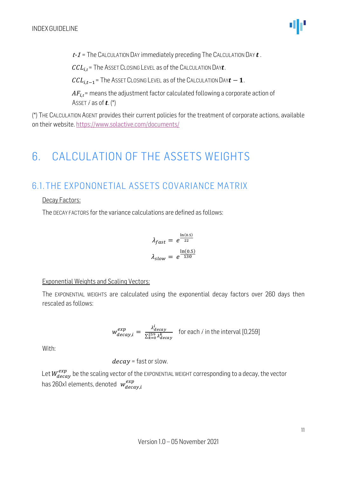$t - 1$  = The CALCULATION DAY immediately preceding The CALCULATION DAY  $t$ .

 $CCL_{i.t}$  = The ASSET CLOSING LEVEL as of the CALCULATION DAY $t$ .

 $CL_{i,t-1}$ = The Asset Closing Level as of the Calculation Day  $t - 1$ .

 $AF_{i,t}$  means the adjustment factor calculated following a corporate action of ASSET *i* as of  $t$ .  $(*)$ 

(\*) THE CALCULATION AGENT provides their current policies for the treatment of corporate actions, available on their website[. https://www.solactive.com/documents/](https://www.solactive.com/documents/)

# <span id="page-10-0"></span>6. CALCULATION OF THE ASSETS WEIGHTS

# <span id="page-10-1"></span>6.1. THE EXPONONETIAL ASSETS COVARIANCE MATRIX

#### Decay Factors:

The DECAY FACTORS for the variance calculations are defined as follows:

$$
\lambda_{fast} = e^{\frac{\ln(0.5)}{22}}
$$

$$
\lambda_{slow} = e^{\frac{\ln(0.5)}{130}}
$$

#### Exponential Weights and Scaling Vectors:

The EXPONENTIAL WEIGHTS are calculated using the exponential decay factors over 260 days then rescaled as follows:

$$
w_{decay,i}^{exp} = \frac{\lambda_{decay}^i}{\sum_{k=0}^{259} \lambda_{decay}^k}
$$
 for each *i* in the interval [0,259]

With:

$$
decay = fast or slow.
$$

Let  $W_{decay}^{exp}$  be the scaling vector of the EXPONENTIAL WEIGHT corresponding to a decay, the vector has 260x1 elements, denoted  $\;w^{exp}_{decay,i}$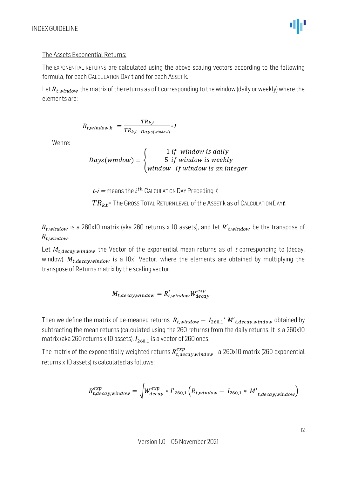#### The Assets Exponential Returns:

The EXPONENTIAL RETURNS are calculated using the above scaling vectors according to the following formula, for each CALCULATION DAY t and for each ASSET k.

Let  $R_{t, window}$  the matrix of the returns as of t corresponding to the window (daily or weekly) where the elements are:

$$
R_{t,window,k} = \frac{TR_{k,t}}{TR_{k,t} - \text{days}(\text{window})} \cdot 1
$$

Wehre:

 $Days(window) = \{$ 1 if window is daily 5 if window is weekly window if window is an integer

 $t$ - $i$  = means the  $i$ <sup>th</sup> CALCULATION DAY Preceding t.

 $TR_{k,t}$  = The GROSS TOTAL RETURN LEVEL of the ASSET k as of CALCULATION DAY $t$ .

 $R_{t. window}$  is a 260x10 matrix (aka 260 returns x 10 assets), and let  $R'_{t. window}$  be the transpose of  $R_{t. window}$ 

Let  $M_{t, decay, window}$  the Vector of the exponential mean returns as of t corresponding to (decay, window),  $M_{t, decay, window}$  is a 10x1 Vector, where the elements are obtained by multiplying the transpose of Returns matrix by the scaling vector.

$$
M_{t,decay,window} = R'_{t,window} W^{exp}_{decay}
$$

Then we define the matrix of de-meaned returns  $R_{t, window} - I_{260,1} * M'_{t, decay, window}$  obtained by subtracting the mean returns (calculated using the 260 returns) from the daily returns. It is a 260x10 matrix (aka 260 returns x 10 assets).  $I_{260,1}$  is a vector of 260 ones.

The matrix of the exponentially weighted returns  $R^{exp}_{t, decay, window}$  , a 260x10 matrix (260 exponential returns x 10 assets) is calculated as follows:

$$
R_{t,decay,window}^{exp} = \sqrt{W_{decay}^{exp} * I'_{260,1}} \left(R_{t,window} - I_{260,1} * M'_{t,decay,window}\right)
$$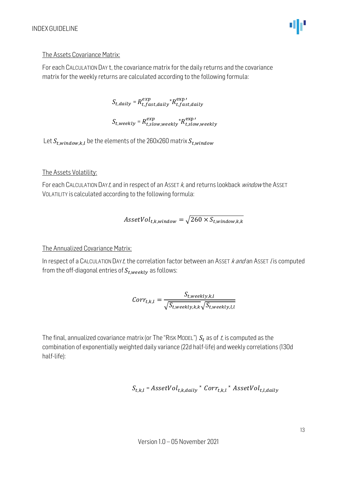#### The Assets Covariance Matrix:

For each CALCULATION DAY t, the covariance matrix for the daily returns and the covariance matrix for the weekly returns are calculated according to the following formula:

 $S_{t, daily} = R_{t, fast, daily}^{exp} \times R_{t, fast, daily}^{exp}$ 

 $S_{t, weekly} = R_{t,slow, weekly}^{exp} {^\star R_{t,slow, weekly}^{exp}}$ 

Let  $S_{t,window,k,l}$  be the elements of the 260x260 matrix  $S_{t,window}$ 

#### The Assets Volatility:

For each CALCULATION DAYt, and in respect of an ASSET k, and returns lookback window the ASSET VOLATILITY is calculated according to the following formula:

$$
AssetVol_{t,k,window} = \sqrt{260 \times S_{t,window,k,k}}
$$

#### The Annualized Covariance Matrix:

In respect of a CALCULATION DAYt, the correlation factor between an ASSET  $k$  and an ASSET l is computed from the off-diagonal entries of  $S_{t, weekly}$  as follows:

$$
Corr_{t,k,l} = \frac{S_{t, weekly,k,l}}{\sqrt{S_{t, weekly,k,k}} \sqrt{S_{t,weekly,l,l}}}
$$

The final, annualized covariance matrix (or The "RISK MODEL")  $S_t$  as of t, is computed as the combination of exponentially weighted daily variance (22d half-life) and weekly correlations (130d half-life):

$$
S_{t,k,l}
$$
 =  $AssetVol_{t,k, daily}$  \*  $Corr_{t,k,l}$  \*  $AssetVol_{t,l, daily}$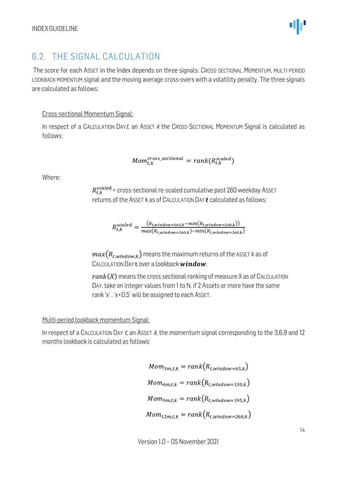## <span id="page-13-0"></span>6.2. THE SIGNAL CALCULATION

The score for each ASSET in the Index depends on three signals: CROSS-SECTIONAL MOMENTUM, MULTI-PERIOD LOOKBACK MOMENTUM signal and the moving average cross-overs with a volatility penalty. The three signals are calculated as follows:

#### Cross-sectional Momentum Signal:

In respect of a CALCULATION DAYt, an ASSET  $k$  the CROSS-SECTIONAL MOMENTUM Signal is calculated as follows:

$$
Mom_{t,k}^{cross\_sectional} = rank(R_{t,k}^{scaled})
$$

Where:

 $R_{t,k}^{scaled}$  = cross-sectional re-scaled cumulative past 260 weekday Ass $\epsilon$ T returns of the ASSET k as of CALCULATION DAY  $t$  calculated as follows:

$$
R_{t,k}^{scaled} = \frac{(R_{t,window=260,k} - min(R_{t,window=260,k}))}{max(R_{t,window=260,k}) - min(R_{t,window=260,k})}
$$

 $max(R_{t.window,k})$  means the maximum returns of the ASSET k as of CALCULATION DAY t over a lookback window.

 $rank(X)$  means the cross sectional ranking of measure X as of CALCULATION DAY, take on integer values from 1 to N. if 2 Assets or more have the same rank 'x' , 'x+0.5' will be assigned to each ASSET.

#### Multi-period lookback momentum Signal:

In respect of a CALCULATION DAY t, an ASSET  $k$ , the momentum signal corresponding to the 3,6,9 and 12 months lookback is calculated as follows:

$$
Mom_{3m,t,k} = rank(R_{t,window=65,k})
$$

$$
Mom_{6m,t,k} = rank(R_{t,window=130,k})
$$

$$
Mom_{9m,t,k} = rank(R_{t,window=195,k})
$$

$$
Mom_{12m,t,k} = rank(R_{t,window=260,k})
$$

Version 1.0 – 05 November 2021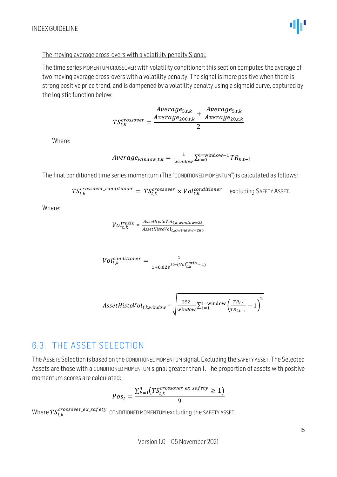

#### The moving average cross-overs with a volatility penalty Signal:

The time series MOMENTUM CROSSOVER with volatility conditioner: this section computes the average of two moving average cross-overs with a volatility penalty. The signal is more positive when there is strong positive price trend, and is dampened by a volatility penalty using a sigmoid curve, captured by the logistic function below:

$$
TS_{t,k}^{crossover} = \frac{\frac{Average_{5,t,k}}{Average_{200,t,k}} + \frac{Average_{5,t,k}}{Average_{20,t,k}}}{2}
$$

Where:

$$
Average_{window,t,k} = \frac{1}{window} \sum_{i=0}^{i=window-1} TR_{k,t-i}
$$

The final conditioned time series momentum (The "CONDITIONED MOMENTUM") is calculated as follows:

$$
TS_{t,k}^{crossover\_conditioner} = TS_{t,k}^{crossover} \times Vol_{t,k}^{conditioner}
$$
 excluding SAFFTY ASSET.

Where:

$$
Vol t, k} = \frac{ {\it Asset Hist0Vol}_{t,k,window=22}}{ {\it Asset Hist0Vol}_{t,k,window=260}}
$$

$$
Vol_{t,k}^{conditioner} = \frac{1}{1 + 0.02e^{30*(Vol_{t,k}^{ratio} - 1)}}
$$

$$
A \textit{ssetHist} \textit{oVol}_{t,k,\textit{window}} = \sqrt{\frac{252}{\textit{window}} \sum_{i=1}^{i=\textit{window}} \left(\frac{TR_{i,t}}{TR_{i,t-1}} - 1\right)^2}
$$

# <span id="page-14-0"></span>6.3. THE ASSET SELECTION

The ASSETS Selection is based on the CONDITIONED MOMENTUM signal. Excluding the SAFETY ASSET, The Selected Assets are those with a CONDITIONED MOMENTUM signal greater than 1. The proportion of assets with positive momentum scores are calculated:

$$
Pos_t = \frac{\sum_{k=1}^{9} (TS_{t,k}^{crossover\_ex\_safety} \ge 1)}{9}
$$

Where  $TS_{t,k}^{crossover\_ex\_safety}$  conditioned momentum excluding the SAFETY ASSET.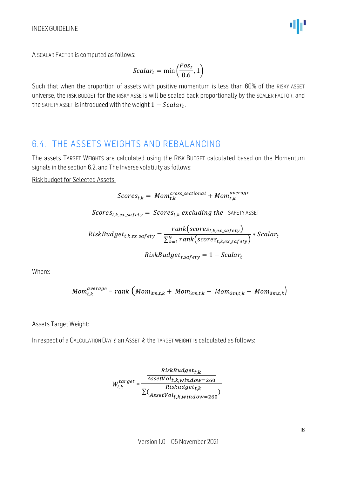A SCALAR FACTOR is computed as follows:

$$
Scalar_t = \min\left(\frac{Pos_t}{0.6}, 1\right)
$$

Such that when the proportion of assets with positive momentum is less than 60% of the RISKY ASSET universe, the RISK BUDGET for the RISKY ASSETS will be scaled back proportionally by the SCALER FACTOR, and the SAFETY ASSET is introduced with the weight  $1 - Scalar_t$ . .

### <span id="page-15-0"></span>6.4. THE ASSETS WEIGHTS AND REBALANCING

The assets TARGET WEIGHTS are calculated using the RISK BUDGET calculated based on the Momentum signals in the section 6.2, and The Inverse volatility as follows:

Risk budget for Selected Assets:

$$
Scores_{t,k} = \text{Mom}_{t,k}^{cross\_sectional} + \text{Mom}_{t,k}^{average}
$$

Scores<sub>t,k,ex</sub> safety = Scores<sub>t,k</sub> excluding the SAFETY ASSET

RiskBudget<sub>t,k,ex\_safety</sub> = 
$$
\frac{rank(scores_{t,k,ex_safety})}{\sum_{k=1}^{9} rank(scores_{t,k,ex_safety})} * Scalar_t
$$

$$
RiskBudget_{t,safety} = 1 - Scalar_t
$$

Where:

$$
Mom_{t,k}^{average} = rank (Mom_{3m,t,k} + Mom_{3m,t,k} + Mom_{3m,t,k} + Mom_{3m,t,k})
$$

#### Assets Target Weight:

In respect of a CALCULATION DAY  $t$ , an ASSET  $k$ , the TARGET WEIGHT is calculated as follows:

$$
W_{t,k}^{target} = \frac{\frac{RiskBudget_{t,k}}{AssetVol_{t,k,window=260}}}{\sum(\frac{Riskudget_{t,k}}{AssetVol_{t,k,window=260}})}
$$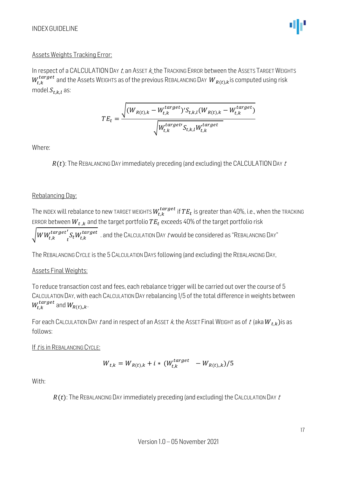#### Assets Weights Tracking Error:

In respect of a CALCULATION DAY  $t$ , an ASSET  $k$ , the TRACKING ERROR between the ASSETS TARGET WEIGHTS  $W_{t,k}^{target}$  and the Assets WEIGHTS as of the previous REBALANCING DAY  $\ {W}_{R(t),k}$ is computed using risk model  $S_{t.k.l}$  as:

$$
TE_t = \frac{\sqrt{(W_{R(t),k} - W_{t,k}^{target})' S_{t,k,l}(W_{R(t),k} - W_{t,k}^{target})}}{\sqrt{W_{t,k}^{target} S_{t,k,l} W_{t,k}^{target}}}
$$

Where:

 $R(t)$ : The REBALANCING DAY immediately preceding (and excluding) the CALCULATION DAY  $t$ 

#### Rebalancing Day:

The index will rebalance to new target weights  $W_{t,k}^{target}$  if  $TE_t$  is greater than 40%, i.e., when the tracking ERROR between  $W_{t,k}$  and the target portfolio  $TE_t$  exceeds 40% of the target portfolio risk

 $\sqrt{WW_{t,k}^{target}}$  $t$  $\int_{t}^{t}\!S_{t}W_{t,k}^{target}\!$  . and the CALCULATION DAY  $t$  would be considered as "REBALANCING DAY"

The REBALANCING CYCLE is the 5 CALCULATION DAYS following (and excluding) the REBALANCING DAY,

#### Assets Final Weights:

To reduce transaction cost and fees, each rebalance trigger will be carried out over the course of 5 CALCULATION DAY, with each CALCULATION DAY rebalancing 1/5 of the total difference in weights between  $W^{target}_{t,k}$  and  $W_{R(t),k}$ .

For each CALCULATION DAY t and in respect of an ASSET k, the ASSET Final WEIGHT as of t (aka  $W_{t,k}$ ) is as follows:

If t is in REBALANCING CYCLE:

$$
W_{t,k} = W_{R(t),k} + i * (W_{t,k}^{target} - W_{R(t),k})/5
$$

With:

 $R(t)$ : The REBALANCING DAY immediately preceding (and excluding) the CALCULATION DAY  $t$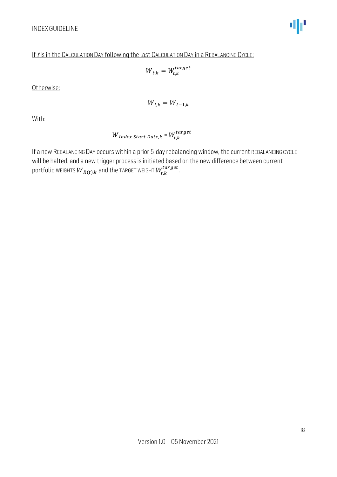#### If t is in the CALCULATION DAY following the last CALCULATION DAY in a REBALANCING CYCLE:

$$
W_{t,k} = W_{t,k}^{target}
$$

Otherwise:

$$
W_{t,k} = W_{t-1,k}
$$

With:

 $W_{Index\;Start\; Date,k}$  =  $W_{t,k}^{target}$ 

If a new REBALANCING DAY occurs within a prior 5-day rebalancing window, the current REBALANCING CYCLE will be halted, and a new trigger process is initiated based on the new difference between current portfolio weights  ${W}_{R(t), k}$  and the TARGET WEIGHT  $W_{t, k}^{target}$ .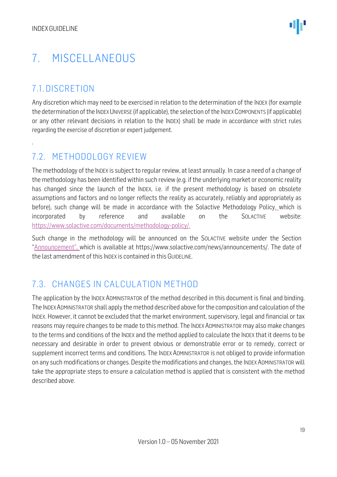# <span id="page-18-0"></span>7. MISCELLANEOUS

# <span id="page-18-1"></span>7.1. DISCRETION

.

Any discretion which may need to be exercised in relation to the determination of the INDEX (for example the determination of the INDEX UNIVERSE (if applicable), the selection of the INDEX COMPONENTS (if applicable) or any other relevant decisions in relation to the INDEX) shall be made in accordance with strict rules regarding the exercise of discretion or expert judgement.

### <span id="page-18-2"></span>7.2. METHODOLOGY REVIEW

The methodology of the INDEX is subject to regular review, at least annually. In case a need of a change of the methodology has been identified within such review (e.g. if the underlying market or economic reality has changed since the launch of the INDEX, i.e. if the present methodology is based on obsolete assumptions and factors and no longer reflects the reality as accurately, reliably and appropriately as before), such change will be made in accordance with the Solactive Methodology Policy, which is incorporated by reference and available on the SOLACTIVE website: [https://www.solactive.com/documents/methodology-policy/.](https://www.solactive.com/documents/methodology-policy/)

Such change in the methodology will be announced on the SOLACTIVE website under the Section "Announcement", which is available at https://www.solactive.com/news/announcements/. The date of the last amendment of this INDEX is contained in this GUIDELINE.

# <span id="page-18-3"></span>7.3. CHANGES IN CALCULATION METHOD

The application by the INDEX ADMINISTRATOR of the method described in this document is final and binding. The INDEX ADMINISTRATOR shall apply the method described above for the composition and calculation of the INDEX. However, it cannot be excluded that the market environment, supervisory, legal and financial or tax reasons may require changes to be made to this method. The INDEX ADMINISTRATOR may also make changes to the terms and conditions of the INDEX and the method applied to calculate the INDEX that it deems to be necessary and desirable in order to prevent obvious or demonstrable error or to remedy, correct or supplement incorrect terms and conditions. The INDEX ADMINISTRATOR is not obliged to provide information on any such modifications or changes. Despite the modifications and changes, the INDEX ADMINISTRATOR will take the appropriate steps to ensure a calculation method is applied that is consistent with the method described above.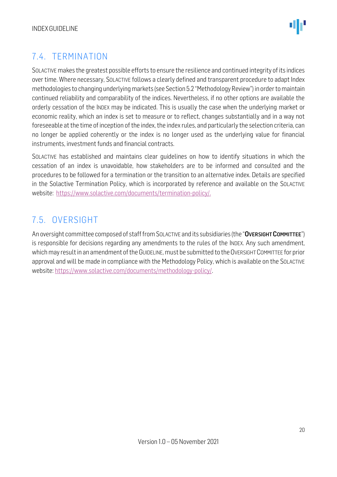# <span id="page-19-0"></span>7.4. TERMINATION

SOLACTIVE makes the greatest possible efforts to ensure the resilience and continued integrity of its indices over time. Where necessary, SOLACTIVE follows a clearly defined and transparent procedure to adapt Index methodologies to changing underlying markets (see Section 5.2 "Methodology Review") in order to maintain continued reliability and comparability of the indices. Nevertheless, if no other options are available the orderly cessation of the INDEX may be indicated. This is usually the case when the underlying market or economic reality, which an index is set to measure or to reflect, changes substantially and in a way not foreseeable at the time of inception of the index, the index rules, and particularly the selection criteria, can no longer be applied coherently or the index is no longer used as the underlying value for financial instruments, investment funds and financial contracts.

SOLACTIVE has established and maintains clear guidelines on how to identify situations in which the cessation of an index is unavoidable, how stakeholders are to be informed and consulted and the procedures to be followed for a termination or the transition to an alternative index. Details are specified in the Solactive Termination Policy, which is incorporated by reference and available on the SOLACTIVE website: [https://www.solactive.com/documents/termination-policy/.](https://www.solactive.com/documents/termination-policy/)

## <span id="page-19-1"></span>7.5. OVERSIGHT

An oversight committee composed of staff from SOLACTIVE and its subsidiaries (the "OVERSIGHT COMMITTEE") is responsible for decisions regarding any amendments to the rules of the INDEX. Any such amendment, which may result in an amendment of the GUIDELINE, must be submitted to the OVERSIGHT COMMITTEE for prior approval and will be made in compliance with the [Methodology](http://methodology/) Policy, which is available on the SOLACTIVE website: [https://www.solactive.com/documents/methodology-policy/.](https://www.solactive.com/documents/methodology-policy/)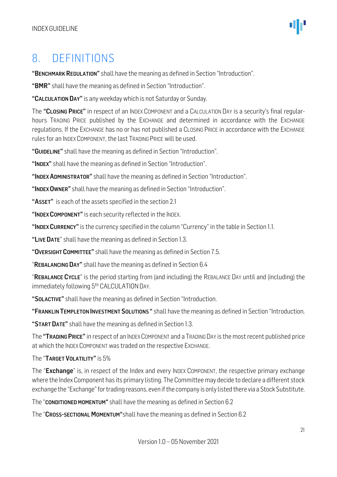# <span id="page-20-0"></span>8. DEFINITIONS

"BENCHMARK REGULATION" shall have the meaning as defined in Section "Introduction".

"BMR" shall have the meaning as defined in Section "Introduction".

"CALCULATION DAY" is any weekday which is not Saturday or Sunday.

The "CLOSING PRICE" in respect of an INDEX COMPONENT and a CALCULATION DAY is a security's final regularhours TRADING PRICE published by the EXCHANGE and determined in accordance with the EXCHANGE regulations. If the EXCHANGE has no or has not published a CLOSING PRICE in accordance with the EXCHANGE rules for an INDEX COMPONENT, the last TRADING PRICE will be used.

"GUIDELINE" shall have the meaning as defined in Section "Introduction".

"INDEX" shall have the meaning as defined in Section "Introduction".

"INDEX ADMINISTRATOR" shall have the meaning as defined in Section "Introduction".

"INDEX OWNER" shall have the meaning as defined in Section "Introduction".

"ASSET" is each of the assets specified in the section 2.1

"INDEX COMPONENT" is each security reflected in the INDEX.

"INDEX CURRENCY" is the currency specified in the column "Currency" in the table in Section 1.1.

"LIVE DATE" shall have the meaning as defined in Section 1.3.

"OVERSIGHT COMMITTEE" shall have the meaning as defined in Section 7.5.

"REBALANCING DAY" shall have the meaning as defined in Section 6.4

"REBALANCE CYCLE" is the period starting from (and including) the REBALANCE DAY until and (including) the immediately following 5<sup>th</sup> CALCULATION DAY.

"SOLACTIVE" shall have the meaning as defined in Section "Introduction.

"FRANKLIN TEMPLETON INVESTMENT SOLUTIONS" shall have the meaning as defined in Section "Introduction.

"START DATE" shall have the meaning as defined in Section 1.3.

The "TRADING PRICE" in respect of an INDEX COMPONENT and a TRADING DAY is the most recent published price at which the INDEX COMPONENT was traded on the respective EXCHANGE.

The "TARGET VOLATILITY" is 5%

The "Exchange" is, in respect of the Index and every INDEX COMPONENT, the respective primary exchange where the Index Component has its primary listing. The Committee may decide to declare a different stock exchange the "Exchange" for trading reasons, even if the company is only listed there via a Stock Substitute.

The "CONDITIONED MOMENTUM" shall have the meaning as defined in Section 6.2

The "CROSS-SECTIONAL MOMENTUM"shall have the meaning as defined in Section 6.2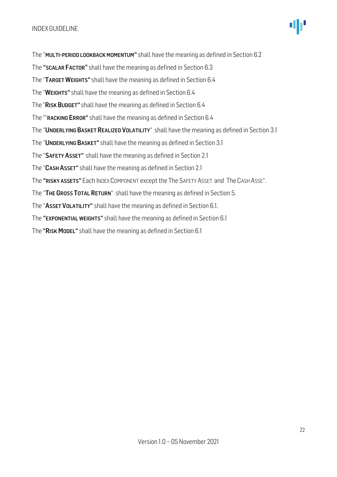The "MULTI-PERIOD LOOKBACK MOMENTUM" shall have the meaning as defined in Section 6.2 The "SCALAR FACTOR" shall have the meaning as defined in Section 6.3 The "TARGET WEIGHTS" shall have the meaning as defined in Section 6.4 The "WEIGHTS" shall have the meaning as defined in Section 6.4 The "RISK BUDGET" shall have the meaning as defined in Section 6.4 The ""RACKING ERROR" shall have the meaning as defined in Section 6.4 The "UNDERLYING BASKET REALIZED VOLATILITY" shall have the meaning as defined in Section 3.1 The "UNDERLYING BASKET" shall have the meaning as defined in Section 3.1 The "SAFETY ASSET" shall have the meaning as defined in Section 2.1 The "CASH ASSET" shall have the meaning as defined in Section 2.1 The "RISKY ASSETS" Each INDEX COMPONENT except the The SAFETY ASSET and The CASH ASSE". The "THE GROSS TOTAL RETURN" shall have the meaning as defined in Section 5. The "ASSET VOLATILITY" shall have the meaning as defined in Section 6.1. The "EXPONENTIAL WEIGHTS" shall have the meaning as defined in Section 6.1 The "RISK MODEL" shall have the meaning as defined in Section 6.1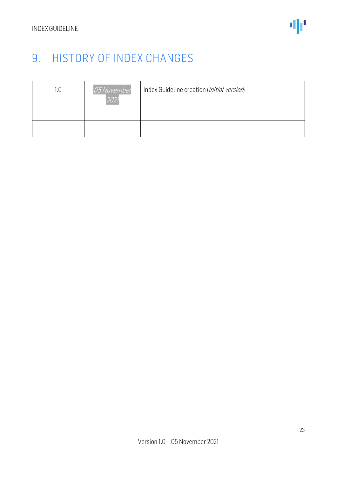# <span id="page-22-0"></span>9. HISTORY OF INDEX CHANGES

| 05 November<br>202 | Index Guideline creation ( <i>initial version</i> ) |
|--------------------|-----------------------------------------------------|
|                    |                                                     |